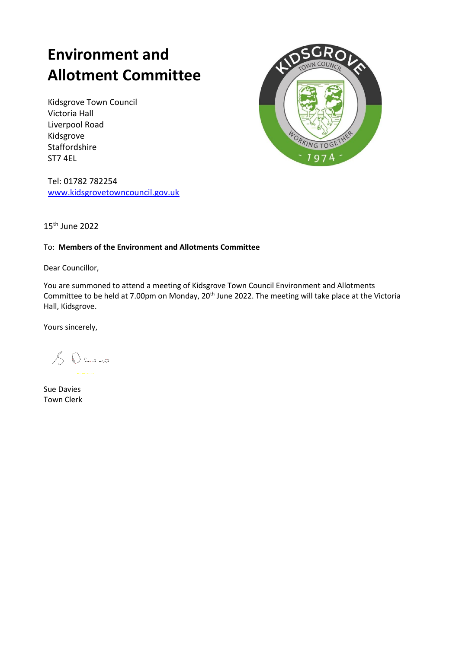# **Environment and Allotment Committee**

Kidsgrove Town Council Victoria Hall Liverpool Road Kidsgrove Staffordshire ST7 4EL



Tel: 01782 782254 [www.kidsgrovetowncouncil.gov.uk](http://www.kidsgrovetowncouncil.gov.uk/)

15th June 2022

#### To: **Members of the Environment and Allotments Committee**

Dear Councillor,

You are summoned to attend a meeting of Kidsgrove Town Council Environment and Allotments Committee to be held at 7.00pm on Monday, 20<sup>th</sup> June 2022. The meeting will take place at the Victoria Hall, Kidsgrove.

Yours sincerely,

& Davies

Sue Davies Town Clerk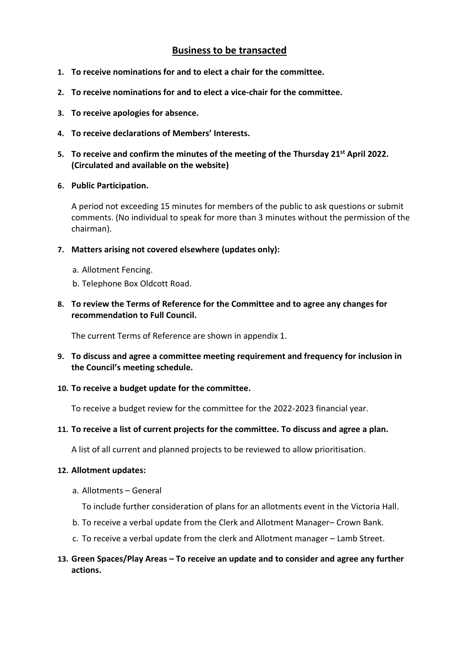## **Business to be transacted**

- **1. To receive nominations for and to elect a chair for the committee.**
- **2. To receive nominations for and to elect a vice-chair for the committee.**
- **3. To receive apologies for absence.**
- **4. To receive declarations of Members' Interests.**
- **5. To receive and confirm the minutes of the meeting of the Thursday 21st April 2022. (Circulated and available on the website)**
- **6. Public Participation.**

A period not exceeding 15 minutes for members of the public to ask questions or submit comments. (No individual to speak for more than 3 minutes without the permission of the chairman).

- **7. Matters arising not covered elsewhere (updates only):**
	- a. Allotment Fencing.
	- b. Telephone Box Oldcott Road.
- **8. To review the Terms of Reference for the Committee and to agree any changes for recommendation to Full Council.**

The current Terms of Reference are shown in appendix 1.

- **9. To discuss and agree a committee meeting requirement and frequency for inclusion in the Council's meeting schedule.**
- **10. To receive a budget update for the committee.**

To receive a budget review for the committee for the 2022-2023 financial year.

**11. To receive a list of current projects for the committee. To discuss and agree a plan.**

A list of all current and planned projects to be reviewed to allow prioritisation.

#### **12. Allotment updates:**

a. Allotments – General

To include further consideration of plans for an allotments event in the Victoria Hall.

- b. To receive a verbal update from the Clerk and Allotment Manager– Crown Bank.
- c. To receive a verbal update from the clerk and Allotment manager Lamb Street.

#### **13. Green Spaces/Play Areas – To receive an update and to consider and agree any further actions.**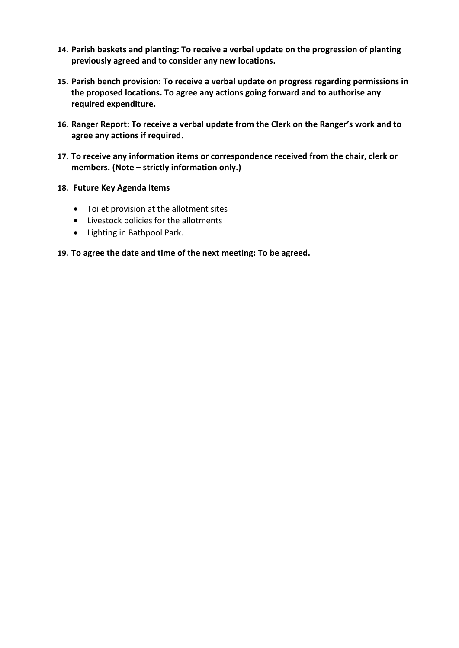- **14. Parish baskets and planting: To receive a verbal update on the progression of planting previously agreed and to consider any new locations.**
- **15. Parish bench provision: To receive a verbal update on progress regarding permissions in the proposed locations. To agree any actions going forward and to authorise any required expenditure.**
- **16. Ranger Report: To receive a verbal update from the Clerk on the Ranger's work and to agree any actions if required.**
- **17. To receive any information items or correspondence received from the chair, clerk or members. (Note – strictly information only.)**
- **18. Future Key Agenda Items**
	- Toilet provision at the allotment sites
	- Livestock policies for the allotments
	- Lighting in Bathpool Park.

#### **19. To agree the date and time of the next meeting: To be agreed.**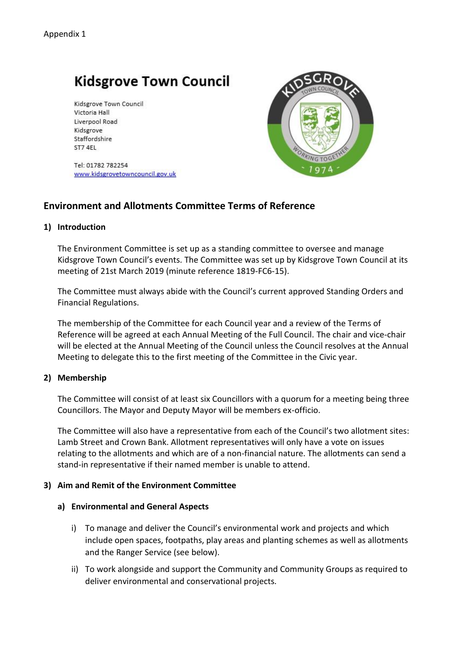## **Kidsgrove Town Council**

Kidsgrove Town Council Victoria Hall Liverpool Road Kidsgrove Staffordshire ST7 4EL

Tel: 01782 782254 www.kidsgrovetowncouncil.gov.uk



## **Environment and Allotments Committee Terms of Reference**

#### **1) Introduction**

The Environment Committee is set up as a standing committee to oversee and manage Kidsgrove Town Council's events. The Committee was set up by Kidsgrove Town Council at its meeting of 21st March 2019 (minute reference 1819-FC6-15).

The Committee must always abide with the Council's current approved Standing Orders and Financial Regulations.

The membership of the Committee for each Council year and a review of the Terms of Reference will be agreed at each Annual Meeting of the Full Council. The chair and vice-chair will be elected at the Annual Meeting of the Council unless the Council resolves at the Annual Meeting to delegate this to the first meeting of the Committee in the Civic year.

#### **2) Membership**

The Committee will consist of at least six Councillors with a quorum for a meeting being three Councillors. The Mayor and Deputy Mayor will be members ex-officio.

The Committee will also have a representative from each of the Council's two allotment sites: Lamb Street and Crown Bank. Allotment representatives will only have a vote on issues relating to the allotments and which are of a non-financial nature. The allotments can send a stand-in representative if their named member is unable to attend.

#### **3) Aim and Remit of the Environment Committee**

#### **a) Environmental and General Aspects**

- i) To manage and deliver the Council's environmental work and projects and which include open spaces, footpaths, play areas and planting schemes as well as allotments and the Ranger Service (see below).
- ii) To work alongside and support the Community and Community Groups as required to deliver environmental and conservational projects.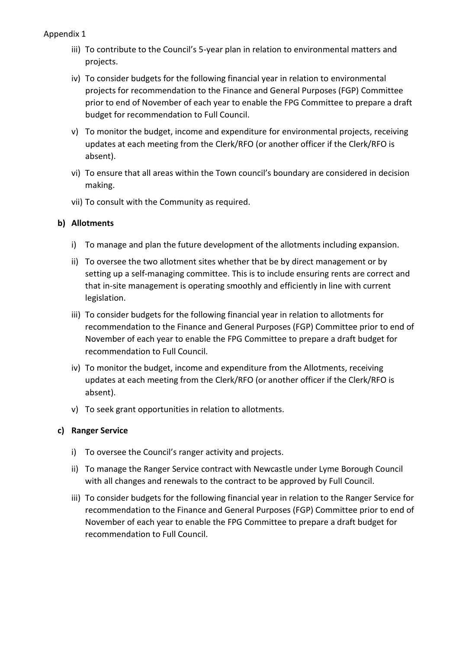- iii) To contribute to the Council's 5-year plan in relation to environmental matters and projects.
- iv) To consider budgets for the following financial year in relation to environmental projects for recommendation to the Finance and General Purposes (FGP) Committee prior to end of November of each year to enable the FPG Committee to prepare a draft budget for recommendation to Full Council.
- v) To monitor the budget, income and expenditure for environmental projects, receiving updates at each meeting from the Clerk/RFO (or another officer if the Clerk/RFO is absent).
- vi) To ensure that all areas within the Town council's boundary are considered in decision making.
- vii) To consult with the Community as required.

#### **b) Allotments**

- i) To manage and plan the future development of the allotments including expansion.
- ii) To oversee the two allotment sites whether that be by direct management or by setting up a self-managing committee. This is to include ensuring rents are correct and that in-site management is operating smoothly and efficiently in line with current legislation.
- iii) To consider budgets for the following financial year in relation to allotments for recommendation to the Finance and General Purposes (FGP) Committee prior to end of November of each year to enable the FPG Committee to prepare a draft budget for recommendation to Full Council.
- iv) To monitor the budget, income and expenditure from the Allotments, receiving updates at each meeting from the Clerk/RFO (or another officer if the Clerk/RFO is absent).
- v) To seek grant opportunities in relation to allotments.

### **c) Ranger Service**

- i) To oversee the Council's ranger activity and projects.
- ii) To manage the Ranger Service contract with Newcastle under Lyme Borough Council with all changes and renewals to the contract to be approved by Full Council.
- iii) To consider budgets for the following financial year in relation to the Ranger Service for recommendation to the Finance and General Purposes (FGP) Committee prior to end of November of each year to enable the FPG Committee to prepare a draft budget for recommendation to Full Council.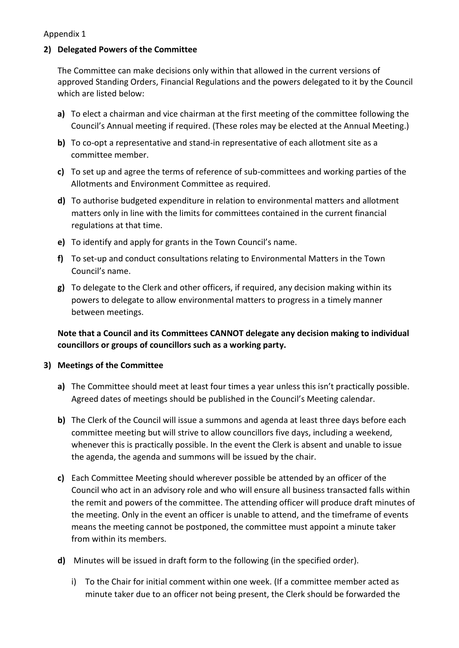#### Appendix 1

## **2) Delegated Powers of the Committee**

The Committee can make decisions only within that allowed in the current versions of approved Standing Orders, Financial Regulations and the powers delegated to it by the Council which are listed below:

- **a)** To elect a chairman and vice chairman at the first meeting of the committee following the Council's Annual meeting if required. (These roles may be elected at the Annual Meeting.)
- **b)** To co-opt a representative and stand-in representative of each allotment site as a committee member.
- **c)** To set up and agree the terms of reference of sub-committees and working parties of the Allotments and Environment Committee as required.
- **d)** To authorise budgeted expenditure in relation to environmental matters and allotment matters only in line with the limits for committees contained in the current financial regulations at that time.
- **e)** To identify and apply for grants in the Town Council's name.
- **f)** To set-up and conduct consultations relating to Environmental Matters in the Town Council's name.
- **g)** To delegate to the Clerk and other officers, if required, any decision making within its powers to delegate to allow environmental matters to progress in a timely manner between meetings.

**Note that a Council and its Committees CANNOT delegate any decision making to individual councillors or groups of councillors such as a working party.** 

## **3) Meetings of the Committee**

- **a)** The Committee should meet at least four times a year unless this isn't practically possible. Agreed dates of meetings should be published in the Council's Meeting calendar.
- **b)** The Clerk of the Council will issue a summons and agenda at least three days before each committee meeting but will strive to allow councillors five days, including a weekend, whenever this is practically possible. In the event the Clerk is absent and unable to issue the agenda, the agenda and summons will be issued by the chair.
- **c)** Each Committee Meeting should wherever possible be attended by an officer of the Council who act in an advisory role and who will ensure all business transacted falls within the remit and powers of the committee. The attending officer will produce draft minutes of the meeting. Only in the event an officer is unable to attend, and the timeframe of events means the meeting cannot be postponed, the committee must appoint a minute taker from within its members.
- **d)** Minutes will be issued in draft form to the following (in the specified order).
	- i) To the Chair for initial comment within one week. (If a committee member acted as minute taker due to an officer not being present, the Clerk should be forwarded the